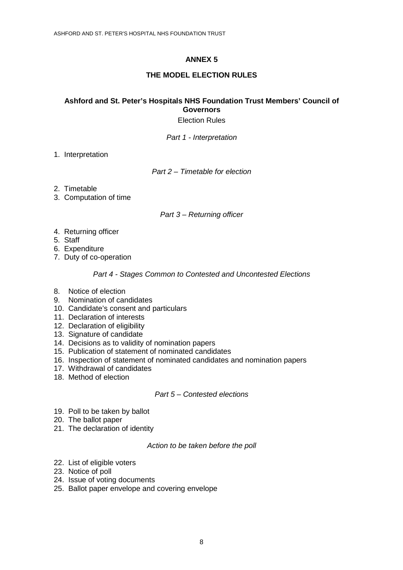# **ANNEX 5**

# **THE MODEL ELECTION RULES**

# **Ashford and St. Peter's Hospitals NHS Foundation Trust Members' Council of Governors**

Election Rules

Part 1 - Interpretation

1. Interpretation

Part 2 – Timetable for election

- 2. Timetable
- 3. Computation of time

## Part 3 – Returning officer

- 4. Returning officer
- 5. Staff
- 6. Expenditure
- 7. Duty of co-operation

## Part 4 - Stages Common to Contested and Uncontested Elections

- 8. Notice of election
- 9. Nomination of candidates
- 10. Candidate's consent and particulars
- 11. Declaration of interests
- 12. Declaration of eligibility
- 13. Signature of candidate
- 14. Decisions as to validity of nomination papers
- 15. Publication of statement of nominated candidates
- 16. Inspection of statement of nominated candidates and nomination papers
- 17. Withdrawal of candidates
- 18. Method of election

## Part 5 – Contested elections

- 19. Poll to be taken by ballot
- 20. The ballot paper
- 21. The declaration of identity

#### Action to be taken before the poll

- 22. List of eligible voters
- 23. Notice of poll
- 24. Issue of voting documents
- 25. Ballot paper envelope and covering envelope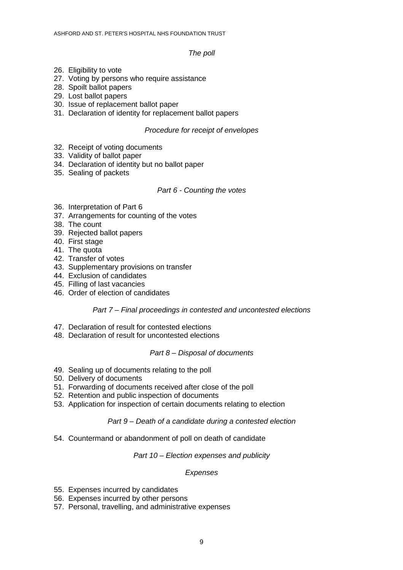#### The poll

- 26. Eligibility to vote
- 27. Voting by persons who require assistance
- 28. Spoilt ballot papers
- 29. Lost ballot papers
- 30. Issue of replacement ballot paper
- 31. Declaration of identity for replacement ballot papers

#### Procedure for receipt of envelopes

- 32. Receipt of voting documents
- 33. Validity of ballot paper
- 34. Declaration of identity but no ballot paper
- 35. Sealing of packets

#### Part 6 - Counting the votes

- 36. Interpretation of Part 6
- 37. Arrangements for counting of the votes
- 38. The count
- 39. Rejected ballot papers
- 40. First stage
- 41. The quota
- 42. Transfer of votes
- 43. Supplementary provisions on transfer
- 44. Exclusion of candidates
- 45. Filling of last vacancies
- 46. Order of election of candidates

## Part 7 – Final proceedings in contested and uncontested elections

- 47. Declaration of result for contested elections
- 48. Declaration of result for uncontested elections

## Part 8 – Disposal of documents

- 49. Sealing up of documents relating to the poll
- 50. Delivery of documents
- 51. Forwarding of documents received after close of the poll
- 52. Retention and public inspection of documents
- 53. Application for inspection of certain documents relating to election

## Part 9 – Death of a candidate during a contested election

54. Countermand or abandonment of poll on death of candidate

#### Part 10 – Election expenses and publicity

## Expenses

- 55. Expenses incurred by candidates
- 56. Expenses incurred by other persons
- 57. Personal, travelling, and administrative expenses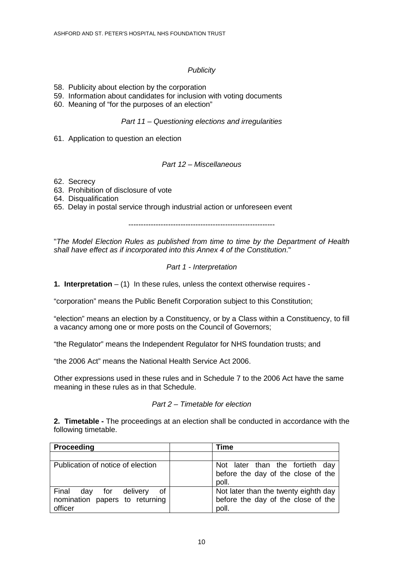# **Publicity**

- 58. Publicity about election by the corporation
- 59. Information about candidates for inclusion with voting documents
- 60. Meaning of "for the purposes of an election"

#### Part 11 – Questioning elections and irregularities

61. Application to question an election

#### Part 12 – Miscellaneous

- 62. Secrecy
- 63. Prohibition of disclosure of vote
- 64. Disqualification
- 65. Delay in postal service through industrial action or unforeseen event

-----------------------------------------------------------

"The Model Election Rules as published from time to time by the Department of Health shall have effect as if incorporated into this Annex 4 of the Constitution."

## Part 1 - Interpretation

**1. Interpretation** – (1) In these rules, unless the context otherwise requires -

"corporation" means the Public Benefit Corporation subject to this Constitution;

"election" means an election by a Constituency, or by a Class within a Constituency, to fill a vacancy among one or more posts on the Council of Governors;

"the Regulator" means the Independent Regulator for NHS foundation trusts; and

"the 2006 Act" means the National Health Service Act 2006.

Other expressions used in these rules and in Schedule 7 to the 2006 Act have the same meaning in these rules as in that Schedule.

#### Part 2 – Timetable for election

**2. Timetable -** The proceedings at an election shall be conducted in accordance with the following timetable.

| Proceeding                                                                   | Time                                                                                |
|------------------------------------------------------------------------------|-------------------------------------------------------------------------------------|
|                                                                              |                                                                                     |
| Publication of notice of election                                            | Not later than the fortieth day<br>before the day of the close of the<br>poll.      |
| Final day for<br>of<br>delivery<br>nomination papers to returning<br>officer | Not later than the twenty eighth day<br>before the day of the close of the<br>poll. |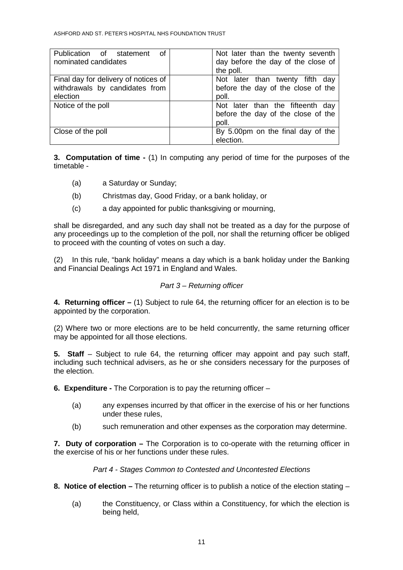| Publication of statement             | Not later than the twenty seventh                                               |
|--------------------------------------|---------------------------------------------------------------------------------|
| of                                   | day before the day of the close of                                              |
| nominated candidates                 | the poll.                                                                       |
| Final day for delivery of notices of | Not later than twenty fifth day                                                 |
| withdrawals by candidates from       | before the day of the close of the                                              |
| election                             | poll.                                                                           |
| Notice of the poll                   | Not later than the fifteenth day<br>before the day of the close of the<br>poll. |
| Close of the poll                    | By 5.00pm on the final day of the<br>election.                                  |

**3. Computation of time -** (1) In computing any period of time for the purposes of the timetable -

- (a) a Saturday or Sunday;
- (b) Christmas day, Good Friday, or a bank holiday, or
- (c) a day appointed for public thanksgiving or mourning,

shall be disregarded, and any such day shall not be treated as a day for the purpose of any proceedings up to the completion of the poll, nor shall the returning officer be obliged to proceed with the counting of votes on such a day.

(2) In this rule, "bank holiday" means a day which is a bank holiday under the Banking and Financial Dealings Act 1971 in England and Wales.

# Part 3 – Returning officer

**4. Returning officer –** (1) Subject to rule 64, the returning officer for an election is to be appointed by the corporation.

(2) Where two or more elections are to be held concurrently, the same returning officer may be appointed for all those elections.

**5.** Staff – Subject to rule 64, the returning officer may appoint and pay such staff, including such technical advisers, as he or she considers necessary for the purposes of the election.

**6. Expenditure -** The Corporation is to pay the returning officer –

- (a) any expenses incurred by that officer in the exercise of his or her functions under these rules,
- (b) such remuneration and other expenses as the corporation may determine.

**7. Duty of corporation –** The Corporation is to co-operate with the returning officer in the exercise of his or her functions under these rules.

## Part 4 - Stages Common to Contested and Uncontested Elections

- **8. Notice of election** The returning officer is to publish a notice of the election stating
	- (a) the Constituency, or Class within a Constituency, for which the election is being held,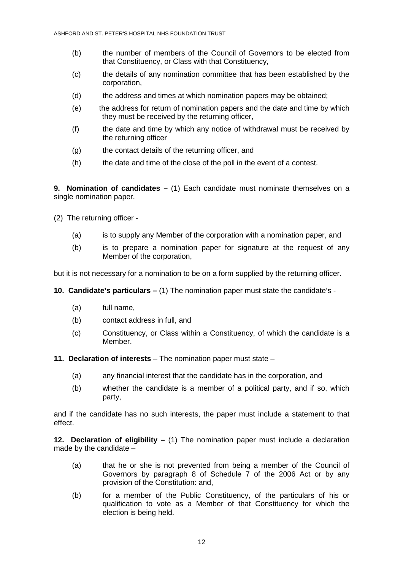- (b) the number of members of the Council of Governors to be elected from that Constituency, or Class with that Constituency,
- (c) the details of any nomination committee that has been established by the corporation,
- (d) the address and times at which nomination papers may be obtained;
- (e) the address for return of nomination papers and the date and time by which they must be received by the returning officer,
- (f) the date and time by which any notice of withdrawal must be received by the returning officer
- (g) the contact details of the returning officer, and
- (h) the date and time of the close of the poll in the event of a contest.

**9. Nomination of candidates –** (1) Each candidate must nominate themselves on a single nomination paper.

- (2) The returning officer
	- (a) is to supply any Member of the corporation with a nomination paper, and
	- (b) is to prepare a nomination paper for signature at the request of any Member of the corporation,

but it is not necessary for a nomination to be on a form supplied by the returning officer.

**10. Candidate's particulars –** (1) The nomination paper must state the candidate's -

- (a) full name,
- (b) contact address in full, and
- (c) Constituency, or Class within a Constituency, of which the candidate is a Member.
- **11. Declaration of interests**  The nomination paper must state
	- (a) any financial interest that the candidate has in the corporation, and
	- (b) whether the candidate is a member of a political party, and if so, which party,

and if the candidate has no such interests, the paper must include a statement to that effect.

**12. Declaration of eligibility –** (1) The nomination paper must include a declaration made by the candidate –

- (a) that he or she is not prevented from being a member of the Council of Governors by paragraph 8 of Schedule 7 of the 2006 Act or by any provision of the Constitution: and,
- (b) for a member of the Public Constituency, of the particulars of his or qualification to vote as a Member of that Constituency for which the election is being held.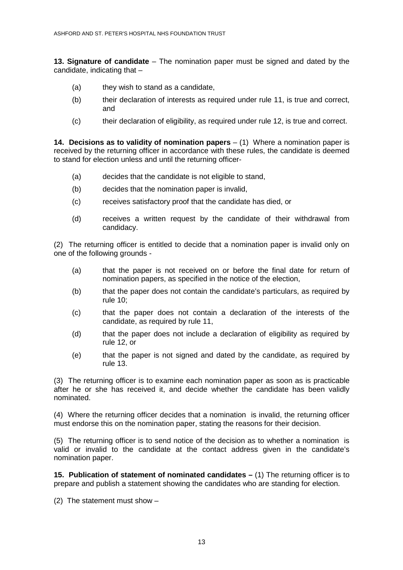**13. Signature of candidate** – The nomination paper must be signed and dated by the candidate, indicating that –

- (a) they wish to stand as a candidate,
- (b) their declaration of interests as required under rule 11, is true and correct, and
- (c) their declaration of eligibility, as required under rule 12, is true and correct.

**14. Decisions as to validity of nomination papers** – (1) Where a nomination paper is received by the returning officer in accordance with these rules, the candidate is deemed to stand for election unless and until the returning officer-

- (a) decides that the candidate is not eligible to stand,
- (b) decides that the nomination paper is invalid,
- (c) receives satisfactory proof that the candidate has died, or
- (d) receives a written request by the candidate of their withdrawal from candidacy.

(2) The returning officer is entitled to decide that a nomination paper is invalid only on one of the following grounds -

- (a) that the paper is not received on or before the final date for return of nomination papers, as specified in the notice of the election,
- (b) that the paper does not contain the candidate's particulars, as required by rule 10;
- (c) that the paper does not contain a declaration of the interests of the candidate, as required by rule 11,
- (d) that the paper does not include a declaration of eligibility as required by rule 12, or
- (e) that the paper is not signed and dated by the candidate, as required by rule 13.

(3) The returning officer is to examine each nomination paper as soon as is practicable after he or she has received it, and decide whether the candidate has been validly nominated.

(4) Where the returning officer decides that a nomination is invalid, the returning officer must endorse this on the nomination paper, stating the reasons for their decision.

(5) The returning officer is to send notice of the decision as to whether a nomination is valid or invalid to the candidate at the contact address given in the candidate's nomination paper.

**15. Publication of statement of nominated candidates – (1)** The returning officer is to prepare and publish a statement showing the candidates who are standing for election.

(2) The statement must show –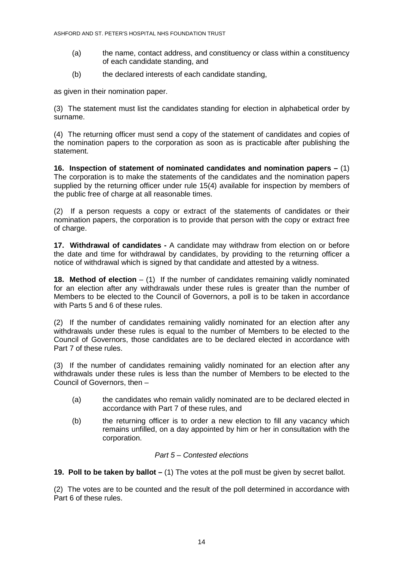- (a) the name, contact address, and constituency or class within a constituency of each candidate standing, and
- (b) the declared interests of each candidate standing,

as given in their nomination paper.

(3) The statement must list the candidates standing for election in alphabetical order by surname.

(4) The returning officer must send a copy of the statement of candidates and copies of the nomination papers to the corporation as soon as is practicable after publishing the statement.

**16. Inspection of statement of nominated candidates and nomination papers –** (1) The corporation is to make the statements of the candidates and the nomination papers supplied by the returning officer under rule 15(4) available for inspection by members of the public free of charge at all reasonable times.

(2) If a person requests a copy or extract of the statements of candidates or their nomination papers, the corporation is to provide that person with the copy or extract free of charge.

**17. Withdrawal of candidates -** A candidate may withdraw from election on or before the date and time for withdrawal by candidates, by providing to the returning officer a notice of withdrawal which is signed by that candidate and attested by a witness.

**18. Method of election** – (1) If the number of candidates remaining validly nominated for an election after any withdrawals under these rules is greater than the number of Members to be elected to the Council of Governors, a poll is to be taken in accordance with Parts 5 and 6 of these rules.

(2) If the number of candidates remaining validly nominated for an election after any withdrawals under these rules is equal to the number of Members to be elected to the Council of Governors, those candidates are to be declared elected in accordance with Part 7 of these rules.

(3) If the number of candidates remaining validly nominated for an election after any withdrawals under these rules is less than the number of Members to be elected to the Council of Governors, then –

- (a) the candidates who remain validly nominated are to be declared elected in accordance with Part 7 of these rules, and
- (b) the returning officer is to order a new election to fill any vacancy which remains unfilled, on a day appointed by him or her in consultation with the corporation.

## Part 5 – Contested elections

**19. Poll to be taken by ballot –** (1) The votes at the poll must be given by secret ballot.

(2) The votes are to be counted and the result of the poll determined in accordance with Part 6 of these rules.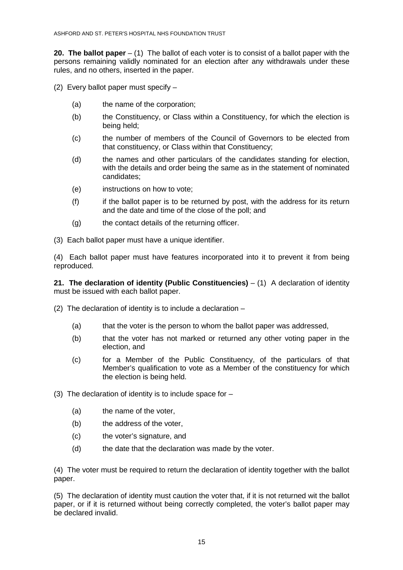**20. The ballot paper** – (1) The ballot of each voter is to consist of a ballot paper with the persons remaining validly nominated for an election after any withdrawals under these rules, and no others, inserted in the paper.

- (2) Every ballot paper must specify
	- (a) the name of the corporation;
	- (b) the Constituency, or Class within a Constituency, for which the election is being held;
	- (c) the number of members of the Council of Governors to be elected from that constituency, or Class within that Constituency;
	- (d) the names and other particulars of the candidates standing for election, with the details and order being the same as in the statement of nominated candidates;
	- (e) instructions on how to vote;
	- (f) if the ballot paper is to be returned by post, with the address for its return and the date and time of the close of the poll; and
	- (g) the contact details of the returning officer.
- (3) Each ballot paper must have a unique identifier.

(4) Each ballot paper must have features incorporated into it to prevent it from being reproduced.

**21. The declaration of identity (Public Constituencies)** – (1) A declaration of identity must be issued with each ballot paper.

- (2) The declaration of identity is to include a declaration
	- (a) that the voter is the person to whom the ballot paper was addressed,
	- (b) that the voter has not marked or returned any other voting paper in the election, and
	- (c) for a Member of the Public Constituency, of the particulars of that Member's qualification to vote as a Member of the constituency for which the election is being held.
- (3) The declaration of identity is to include space for  $-$ 
	- (a) the name of the voter,
	- (b) the address of the voter,
	- (c) the voter's signature, and
	- (d) the date that the declaration was made by the voter.

(4) The voter must be required to return the declaration of identity together with the ballot paper.

(5) The declaration of identity must caution the voter that, if it is not returned wit the ballot paper, or if it is returned without being correctly completed, the voter's ballot paper may be declared invalid.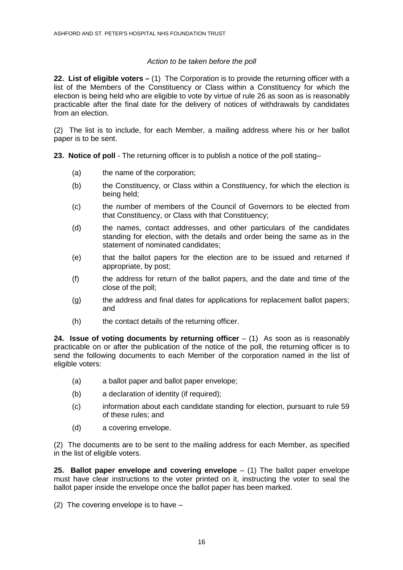# Action to be taken before the poll

**22. List of eligible voters –** (1) The Corporation is to provide the returning officer with a list of the Members of the Constituency or Class within a Constituency for which the election is being held who are eligible to vote by virtue of rule 26 as soon as is reasonably practicable after the final date for the delivery of notices of withdrawals by candidates from an election.

(2) The list is to include, for each Member, a mailing address where his or her ballot paper is to be sent.

**23. Notice of poll** - The returning officer is to publish a notice of the poll stating–

- (a) the name of the corporation;
- (b) the Constituency, or Class within a Constituency, for which the election is being held;
- (c) the number of members of the Council of Governors to be elected from that Constituency, or Class with that Constituency;
- (d) the names, contact addresses, and other particulars of the candidates standing for election, with the details and order being the same as in the statement of nominated candidates;
- (e) that the ballot papers for the election are to be issued and returned if appropriate, by post;
- (f) the address for return of the ballot papers, and the date and time of the close of the poll;
- (g) the address and final dates for applications for replacement ballot papers; and
- (h) the contact details of the returning officer.

**24. Issue of voting documents by returning officer**  $-$  (1) As soon as is reasonably practicable on or after the publication of the notice of the poll, the returning officer is to send the following documents to each Member of the corporation named in the list of eligible voters:

- (a) a ballot paper and ballot paper envelope;
- (b) a declaration of identity (if required);
- (c) information about each candidate standing for election, pursuant to rule 59 of these rules; and
- (d) a covering envelope.

(2) The documents are to be sent to the mailing address for each Member, as specified in the list of eligible voters.

**25. Ballot paper envelope and covering envelope** – (1) The ballot paper envelope must have clear instructions to the voter printed on it, instructing the voter to seal the ballot paper inside the envelope once the ballot paper has been marked.

(2) The covering envelope is to have –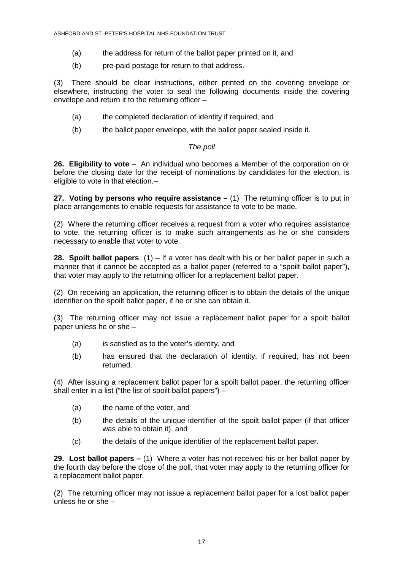- (a) the address for return of the ballot paper printed on it, and
- (b) pre-paid postage for return to that address.

(3) There should be clear instructions, either printed on the covering envelope or elsewhere, instructing the voter to seal the following documents inside the covering envelope and return it to the returning officer –

- (a) the completed declaration of identity if required, and
- (b) the ballot paper envelope, with the ballot paper sealed inside it.

#### The poll

**26. Eligibility to vote** – An individual who becomes a Member of the corporation on or before the closing date for the receipt of nominations by candidates for the election, is eligible to vote in that election.–

**27. Voting by persons who require assistance –** (1) The returning officer is to put in place arrangements to enable requests for assistance to vote to be made.

(2) Where the returning officer receives a request from a voter who requires assistance to vote, the returning officer is to make such arrangements as he or she considers necessary to enable that voter to vote.

**28. Spoilt ballot papers** (1) – If a voter has dealt with his or her ballot paper in such a manner that it cannot be accepted as a ballot paper (referred to a "spoilt ballot paper"), that voter may apply to the returning officer for a replacement ballot paper.

(2) On receiving an application, the returning officer is to obtain the details of the unique identifier on the spoilt ballot paper, if he or she can obtain it.

(3) The returning officer may not issue a replacement ballot paper for a spoilt ballot paper unless he or she –

- (a) is satisfied as to the voter's identity, and
- (b) has ensured that the declaration of identity, if required, has not been returned.

(4) After issuing a replacement ballot paper for a spoilt ballot paper, the returning officer shall enter in a list ("the list of spoilt ballot papers") –

- (a) the name of the voter, and
- (b) the details of the unique identifier of the spoilt ballot paper (if that officer was able to obtain it), and
- (c) the details of the unique identifier of the replacement ballot paper.

**29. Lost ballot papers –** (1) Where a voter has not received his or her ballot paper by the fourth day before the close of the poll, that voter may apply to the returning officer for a replacement ballot paper.

(2) The returning officer may not issue a replacement ballot paper for a lost ballot paper unless he or she –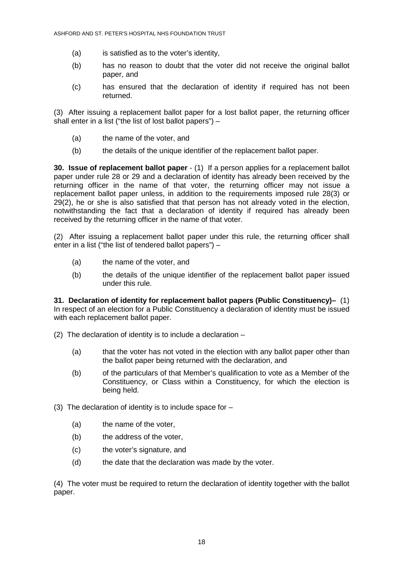- (a) is satisfied as to the voter's identity,
- (b) has no reason to doubt that the voter did not receive the original ballot paper, and
- (c) has ensured that the declaration of identity if required has not been returned.

(3) After issuing a replacement ballot paper for a lost ballot paper, the returning officer shall enter in a list ("the list of lost ballot papers") –

- (a) the name of the voter, and
- (b) the details of the unique identifier of the replacement ballot paper.

**30. Issue of replacement ballot paper** - (1)If a person applies for a replacement ballot paper under rule 28 or 29 and a declaration of identity has already been received by the returning officer in the name of that voter, the returning officer may not issue a replacement ballot paper unless, in addition to the requirements imposed rule 28(3) or 29(2), he or she is also satisfied that that person has not already voted in the election, notwithstanding the fact that a declaration of identity if required has already been received by the returning officer in the name of that voter.

(2) After issuing a replacement ballot paper under this rule, the returning officer shall enter in a list ("the list of tendered ballot papers") –

- (a) the name of the voter, and
- (b) the details of the unique identifier of the replacement ballot paper issued under this rule.

**31. Declaration of identity for replacement ballot papers (Public Constituency)–** (1) In respect of an election for a Public Constituency a declaration of identity must be issued with each replacement ballot paper.

- (2) The declaration of identity is to include a declaration
	- (a) that the voter has not voted in the election with any ballot paper other than the ballot paper being returned with the declaration, and
	- (b) of the particulars of that Member's qualification to vote as a Member of the Constituency, or Class within a Constituency, for which the election is being held.
- (3) The declaration of identity is to include space for  $-$ 
	- (a) the name of the voter,
	- (b) the address of the voter,
	- (c) the voter's signature, and
	- (d) the date that the declaration was made by the voter.

(4) The voter must be required to return the declaration of identity together with the ballot paper.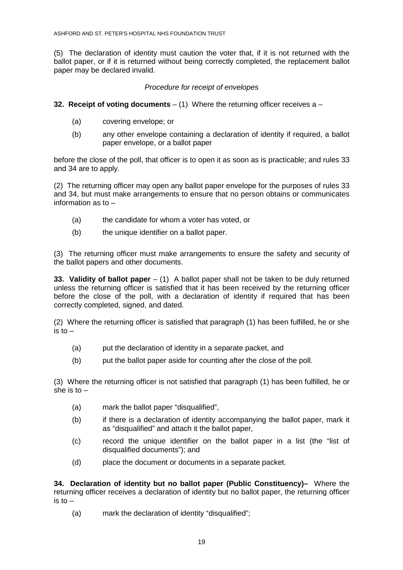(5) The declaration of identity must caution the voter that, if it is not returned with the ballot paper, or if it is returned without being correctly completed, the replacement ballot paper may be declared invalid.

# Procedure for receipt of envelopes

- **32. Receipt of voting documents**  (1) Where the returning officer receives a
	- (a) covering envelope; or
	- (b) any other envelope containing a declaration of identity if required, a ballot paper envelope, or a ballot paper

before the close of the poll, that officer is to open it as soon as is practicable; and rules 33 and 34 are to apply.

(2) The returning officer may open any ballot paper envelope for the purposes of rules 33 and 34, but must make arrangements to ensure that no person obtains or communicates information as to –

- (a) the candidate for whom a voter has voted, or
- (b) the unique identifier on a ballot paper.

(3) The returning officer must make arrangements to ensure the safety and security of the ballot papers and other documents.

**33. Validity of ballot paper** – (1) A ballot paper shall not be taken to be duly returned unless the returning officer is satisfied that it has been received by the returning officer before the close of the poll, with a declaration of identity if required that has been correctly completed, signed, and dated.

(2) Where the returning officer is satisfied that paragraph (1) has been fulfilled, he or she is to  $-$ 

- (a) put the declaration of identity in a separate packet, and
- (b) put the ballot paper aside for counting after the close of the poll.

(3) Where the returning officer is not satisfied that paragraph (1) has been fulfilled, he or she is to  $-$ 

- (a) mark the ballot paper "disqualified",
- (b) if there is a declaration of identity accompanying the ballot paper, mark it as "disqualified" and attach it the ballot paper,
- (c) record the unique identifier on the ballot paper in a list (the "list of disqualified documents"); and
- (d) place the document or documents in a separate packet.

**34. Declaration of identity but no ballot paper (Public Constituency)–** Where the returning officer receives a declaration of identity but no ballot paper, the returning officer  $\sin$  to  $-$ 

(a) mark the declaration of identity "disqualified";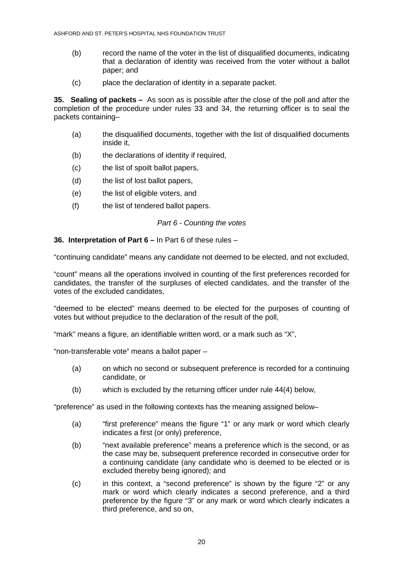- (b) record the name of the voter in the list of disqualified documents, indicating that a declaration of identity was received from the voter without a ballot paper; and
- (c) place the declaration of identity in a separate packet.

**35. Sealing of packets –** As soon as is possible after the close of the poll and after the completion of the procedure under rules 33 and 34, the returning officer is to seal the packets containing–

- (a) the disqualified documents, together with the list of disqualified documents inside it,
- (b) the declarations of identity if required,
- (c) the list of spoilt ballot papers,
- (d) the list of lost ballot papers,
- (e) the list of eligible voters, and
- (f) the list of tendered ballot papers.

## Part 6 - Counting the votes

#### **36. Interpretation of Part 6 –** In Part 6 of these rules –

"continuing candidate" means any candidate not deemed to be elected, and not excluded,

"count" means all the operations involved in counting of the first preferences recorded for candidates, the transfer of the surpluses of elected candidates, and the transfer of the votes of the excluded candidates,

"deemed to be elected" means deemed to be elected for the purposes of counting of votes but without prejudice to the declaration of the result of the poll,

"mark" means a figure, an identifiable written word, or a mark such as "X",

"non-transferable vote" means a ballot paper –

- (a) on which no second or subsequent preference is recorded for a continuing candidate, or
- (b) which is excluded by the returning officer under rule 44(4) below,

"preference" as used in the following contexts has the meaning assigned below–

- (a) "first preference" means the figure "1" or any mark or word which clearly indicates a first (or only) preference,
- (b) "next available preference" means a preference which is the second, or as the case may be, subsequent preference recorded in consecutive order for a continuing candidate (any candidate who is deemed to be elected or is excluded thereby being ignored); and
- (c) in this context, a "second preference" is shown by the figure "2" or any mark or word which clearly indicates a second preference, and a third preference by the figure "3" or any mark or word which clearly indicates a third preference, and so on,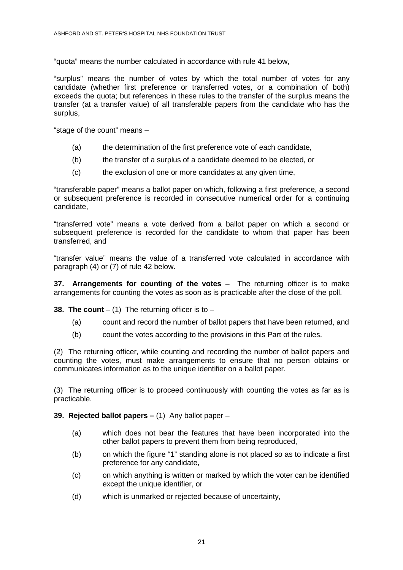"quota" means the number calculated in accordance with rule 41 below,

"surplus" means the number of votes by which the total number of votes for any candidate (whether first preference or transferred votes, or a combination of both) exceeds the quota; but references in these rules to the transfer of the surplus means the transfer (at a transfer value) of all transferable papers from the candidate who has the surplus,

"stage of the count" means –

- (a) the determination of the first preference vote of each candidate,
- (b) the transfer of a surplus of a candidate deemed to be elected, or
- (c) the exclusion of one or more candidates at any given time,

"transferable paper" means a ballot paper on which, following a first preference, a second or subsequent preference is recorded in consecutive numerical order for a continuing candidate,

"transferred vote" means a vote derived from a ballot paper on which a second or subsequent preference is recorded for the candidate to whom that paper has been transferred, and

"transfer value" means the value of a transferred vote calculated in accordance with paragraph (4) or (7) of rule 42 below.

**37. Arrangements for counting of the votes** – The returning officer is to make arrangements for counting the votes as soon as is practicable after the close of the poll.

**38. The count**  $-$  (1) The returning officer is to  $-$ 

- (a) count and record the number of ballot papers that have been returned, and
- (b) count the votes according to the provisions in this Part of the rules.

(2) The returning officer, while counting and recording the number of ballot papers and counting the votes, must make arrangements to ensure that no person obtains or communicates information as to the unique identifier on a ballot paper.

(3) The returning officer is to proceed continuously with counting the votes as far as is practicable.

**39. Rejected ballot papers –** (1) Any ballot paper –

- (a) which does not bear the features that have been incorporated into the other ballot papers to prevent them from being reproduced,
- (b) on which the figure "1" standing alone is not placed so as to indicate a first preference for any candidate,
- (c) on which anything is written or marked by which the voter can be identified except the unique identifier, or
- (d) which is unmarked or rejected because of uncertainty,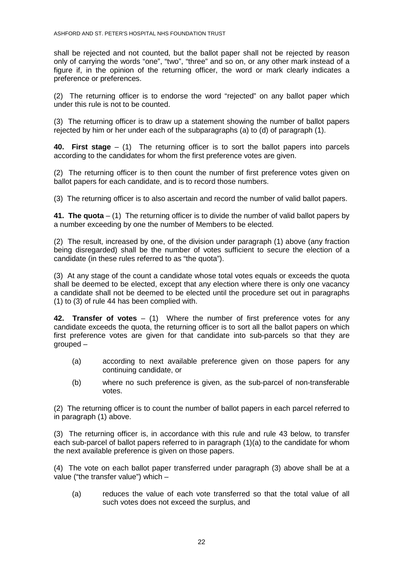shall be rejected and not counted, but the ballot paper shall not be rejected by reason only of carrying the words "one", "two", "three" and so on, or any other mark instead of a figure if, in the opinion of the returning officer, the word or mark clearly indicates a preference or preferences.

(2) The returning officer is to endorse the word "rejected" on any ballot paper which under this rule is not to be counted.

(3) The returning officer is to draw up a statement showing the number of ballot papers rejected by him or her under each of the subparagraphs (a) to (d) of paragraph (1).

**40. First stage** – (1) The returning officer is to sort the ballot papers into parcels according to the candidates for whom the first preference votes are given.

(2) The returning officer is to then count the number of first preference votes given on ballot papers for each candidate, and is to record those numbers.

(3) The returning officer is to also ascertain and record the number of valid ballot papers.

**41. The quota** – (1) The returning officer is to divide the number of valid ballot papers by a number exceeding by one the number of Members to be elected.

(2) The result, increased by one, of the division under paragraph (1) above (any fraction being disregarded) shall be the number of votes sufficient to secure the election of a candidate (in these rules referred to as "the quota").

(3) At any stage of the count a candidate whose total votes equals or exceeds the quota shall be deemed to be elected, except that any election where there is only one vacancy a candidate shall not be deemed to be elected until the procedure set out in paragraphs (1) to (3) of rule 44 has been complied with.

**42. Transfer of votes** – (1) Where the number of first preference votes for any candidate exceeds the quota, the returning officer is to sort all the ballot papers on which first preference votes are given for that candidate into sub-parcels so that they are grouped –

- (a) according to next available preference given on those papers for any continuing candidate, or
- (b) where no such preference is given, as the sub-parcel of non-transferable votes.

(2) The returning officer is to count the number of ballot papers in each parcel referred to in paragraph (1) above.

(3) The returning officer is, in accordance with this rule and rule 43 below, to transfer each sub-parcel of ballot papers referred to in paragraph (1)(a) to the candidate for whom the next available preference is given on those papers.

(4) The vote on each ballot paper transferred under paragraph (3) above shall be at a value ("the transfer value") which –

(a) reduces the value of each vote transferred so that the total value of all such votes does not exceed the surplus, and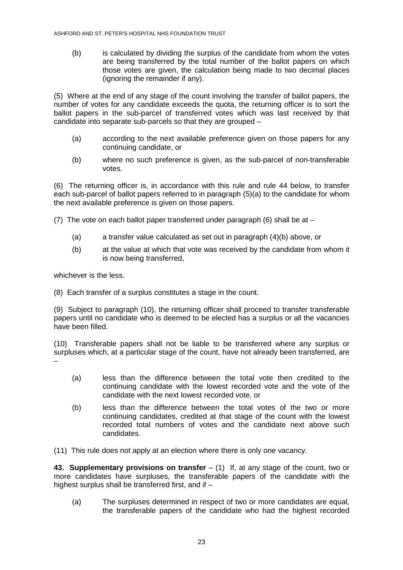(b) is calculated by dividing the surplus of the candidate from whom the votes are being transferred by the total number of the ballot papers on which those votes are given, the calculation being made to two decimal places (ignoring the remainder if any).

(5) Where at the end of any stage of the count involving the transfer of ballot papers, the number of votes for any candidate exceeds the quota, the returning officer is to sort the ballot papers in the sub-parcel of transferred votes which was last received by that candidate into separate sub-parcels so that they are grouped –

- (a) according to the next available preference given on those papers for any continuing candidate, or
- (b) where no such preference is given, as the sub-parcel of non-transferable votes.

(6) The returning officer is, in accordance with this rule and rule 44 below, to transfer each sub-parcel of ballot papers referred to in paragraph (5)(a) to the candidate for whom the next available preference is given on those papers.

(7) The vote on each ballot paper transferred under paragraph  $(6)$  shall be at –

- (a) a transfer value calculated as set out in paragraph (4)(b) above, or
- (b) at the value at which that vote was received by the candidate from whom it is now being transferred,

whichever is the less.

(8) Each transfer of a surplus constitutes a stage in the count.

(9) Subject to paragraph (10), the returning officer shall proceed to transfer transferable papers until no candidate who is deemed to be elected has a surplus or all the vacancies have been filled.

(10) Transferable papers shall not be liable to be transferred where any surplus or surpluses which, at a particular stage of the count, have not already been transferred, are –

- (a) less than the difference between the total vote then credited to the continuing candidate with the lowest recorded vote and the vote of the candidate with the next lowest recorded vote, or
- (b) less than the difference between the total votes of the two or more continuing candidates, credited at that stage of the count with the lowest recorded total numbers of votes and the candidate next above such candidates.
- (11) This rule does not apply at an election where there is only one vacancy.

**43. Supplementary provisions on transfer** – (1) If, at any stage of the count, two or more candidates have surpluses, the transferable papers of the candidate with the highest surplus shall be transferred first, and if –

(a) The surpluses determined in respect of two or more candidates are equal, the transferable papers of the candidate who had the highest recorded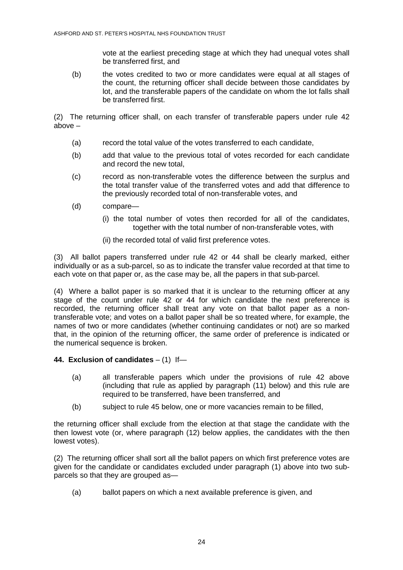vote at the earliest preceding stage at which they had unequal votes shall be transferred first, and

(b) the votes credited to two or more candidates were equal at all stages of the count, the returning officer shall decide between those candidates by lot, and the transferable papers of the candidate on whom the lot falls shall be transferred first.

(2) The returning officer shall, on each transfer of transferable papers under rule 42 above –

- (a) record the total value of the votes transferred to each candidate,
- (b) add that value to the previous total of votes recorded for each candidate and record the new total,
- (c) record as non-transferable votes the difference between the surplus and the total transfer value of the transferred votes and add that difference to the previously recorded total of non-transferable votes, and
- (d) compare—
	- (i) the total number of votes then recorded for all of the candidates, together with the total number of non-transferable votes, with
	- (ii) the recorded total of valid first preference votes.

(3) All ballot papers transferred under rule 42 or 44 shall be clearly marked, either individually or as a sub-parcel, so as to indicate the transfer value recorded at that time to each vote on that paper or, as the case may be, all the papers in that sub-parcel.

(4) Where a ballot paper is so marked that it is unclear to the returning officer at any stage of the count under rule 42 or 44 for which candidate the next preference is recorded, the returning officer shall treat any vote on that ballot paper as a nontransferable vote; and votes on a ballot paper shall be so treated where, for example, the names of two or more candidates (whether continuing candidates or not) are so marked that, in the opinion of the returning officer, the same order of preference is indicated or the numerical sequence is broken.

## **44. Exclusion of candidates** – (1)If—

- (a) all transferable papers which under the provisions of rule 42 above (including that rule as applied by paragraph (11) below) and this rule are required to be transferred, have been transferred, and
- (b) subject to rule 45 below, one or more vacancies remain to be filled,

the returning officer shall exclude from the election at that stage the candidate with the then lowest vote (or, where paragraph (12) below applies, the candidates with the then lowest votes).

(2) The returning officer shall sort all the ballot papers on which first preference votes are given for the candidate or candidates excluded under paragraph (1) above into two subparcels so that they are grouped as—

(a) ballot papers on which a next available preference is given, and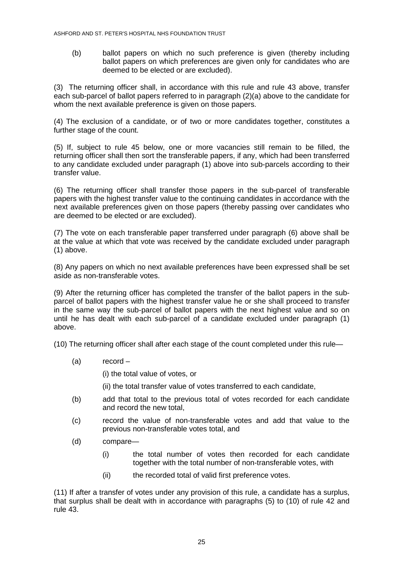(b) ballot papers on which no such preference is given (thereby including ballot papers on which preferences are given only for candidates who are deemed to be elected or are excluded).

(3) The returning officer shall, in accordance with this rule and rule 43 above, transfer each sub-parcel of ballot papers referred to in paragraph (2)(a) above to the candidate for whom the next available preference is given on those papers.

(4) The exclusion of a candidate, or of two or more candidates together, constitutes a further stage of the count.

(5) If, subject to rule 45 below, one or more vacancies still remain to be filled, the returning officer shall then sort the transferable papers, if any, which had been transferred to any candidate excluded under paragraph (1) above into sub-parcels according to their transfer value.

(6) The returning officer shall transfer those papers in the sub-parcel of transferable papers with the highest transfer value to the continuing candidates in accordance with the next available preferences given on those papers (thereby passing over candidates who are deemed to be elected or are excluded).

(7) The vote on each transferable paper transferred under paragraph (6) above shall be at the value at which that vote was received by the candidate excluded under paragraph (1) above.

(8) Any papers on which no next available preferences have been expressed shall be set aside as non-transferable votes.

(9) After the returning officer has completed the transfer of the ballot papers in the subparcel of ballot papers with the highest transfer value he or she shall proceed to transfer in the same way the sub-parcel of ballot papers with the next highest value and so on until he has dealt with each sub-parcel of a candidate excluded under paragraph (1) above.

(10) The returning officer shall after each stage of the count completed under this rule—

(a) record –

(i) the total value of votes, or

- (ii) the total transfer value of votes transferred to each candidate,
- (b) add that total to the previous total of votes recorded for each candidate and record the new total,
- (c) record the value of non-transferable votes and add that value to the previous non-transferable votes total, and
- (d) compare—
	- (i) the total number of votes then recorded for each candidate together with the total number of non-transferable votes, with
	- (ii) the recorded total of valid first preference votes.

(11) If after a transfer of votes under any provision of this rule, a candidate has a surplus, that surplus shall be dealt with in accordance with paragraphs (5) to (10) of rule 42 and rule 43.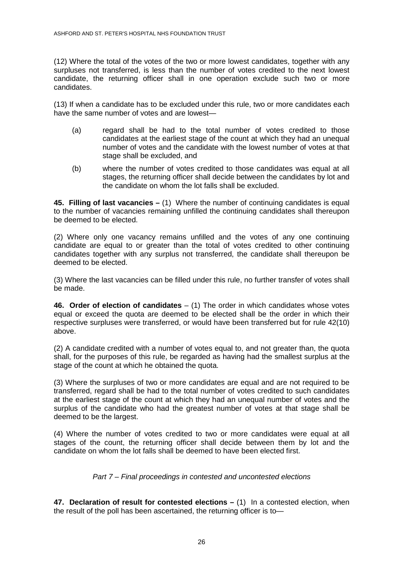(12) Where the total of the votes of the two or more lowest candidates, together with any surpluses not transferred, is less than the number of votes credited to the next lowest candidate, the returning officer shall in one operation exclude such two or more candidates.

(13) If when a candidate has to be excluded under this rule, two or more candidates each have the same number of votes and are lowest—

- (a) regard shall be had to the total number of votes credited to those candidates at the earliest stage of the count at which they had an unequal number of votes and the candidate with the lowest number of votes at that stage shall be excluded, and
- (b) where the number of votes credited to those candidates was equal at all stages, the returning officer shall decide between the candidates by lot and the candidate on whom the lot falls shall be excluded.

**45. Filling of last vacancies –** (1) Where the number of continuing candidates is equal to the number of vacancies remaining unfilled the continuing candidates shall thereupon be deemed to be elected.

(2) Where only one vacancy remains unfilled and the votes of any one continuing candidate are equal to or greater than the total of votes credited to other continuing candidates together with any surplus not transferred, the candidate shall thereupon be deemed to be elected.

(3) Where the last vacancies can be filled under this rule, no further transfer of votes shall be made.

**46. Order of election of candidates** – (1) The order in which candidates whose votes equal or exceed the quota are deemed to be elected shall be the order in which their respective surpluses were transferred, or would have been transferred but for rule 42(10) above.

(2) A candidate credited with a number of votes equal to, and not greater than, the quota shall, for the purposes of this rule, be regarded as having had the smallest surplus at the stage of the count at which he obtained the quota.

(3) Where the surpluses of two or more candidates are equal and are not required to be transferred, regard shall be had to the total number of votes credited to such candidates at the earliest stage of the count at which they had an unequal number of votes and the surplus of the candidate who had the greatest number of votes at that stage shall be deemed to be the largest.

(4) Where the number of votes credited to two or more candidates were equal at all stages of the count, the returning officer shall decide between them by lot and the candidate on whom the lot falls shall be deemed to have been elected first.

Part 7 – Final proceedings in contested and uncontested elections

**47. Declaration of result for contested elections –** (1) In a contested election, when the result of the poll has been ascertained, the returning officer is to—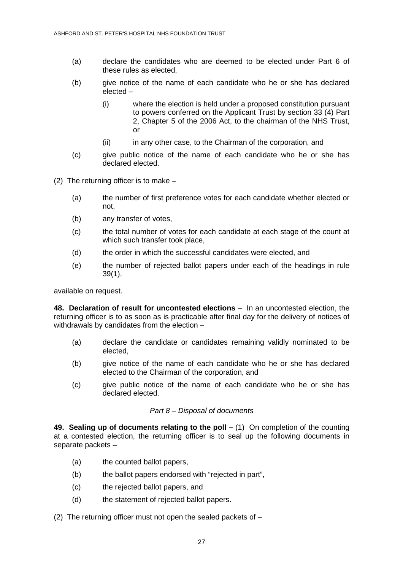- (a) declare the candidates who are deemed to be elected under Part 6 of these rules as elected,
- (b) give notice of the name of each candidate who he or she has declared elected –
	- (i) where the election is held under a proposed constitution pursuant to powers conferred on the Applicant Trust by section 33 (4) Part 2, Chapter 5 of the 2006 Act, to the chairman of the NHS Trust, or
	- (ii) in any other case, to the Chairman of the corporation, and
- (c) give public notice of the name of each candidate who he or she has declared elected.

(2) The returning officer is to make –

- (a) the number of first preference votes for each candidate whether elected or not,
- (b) any transfer of votes,
- (c) the total number of votes for each candidate at each stage of the count at which such transfer took place,
- (d) the order in which the successful candidates were elected, and
- (e) the number of rejected ballot papers under each of the headings in rule 39(1),

available on request.

**48. Declaration of result for uncontested elections** – In an uncontested election, the returning officer is to as soon as is practicable after final day for the delivery of notices of withdrawals by candidates from the election –

- (a) declare the candidate or candidates remaining validly nominated to be elected,
- (b) give notice of the name of each candidate who he or she has declared elected to the Chairman of the corporation, and
- (c) give public notice of the name of each candidate who he or she has declared elected.

## Part 8 – Disposal of documents

**49. Sealing up of documents relating to the poll –** (1) On completion of the counting at a contested election, the returning officer is to seal up the following documents in separate packets –

- (a) the counted ballot papers,
- (b) the ballot papers endorsed with "rejected in part",
- (c) the rejected ballot papers, and
- (d) the statement of rejected ballot papers.

(2) The returning officer must not open the sealed packets of  $-$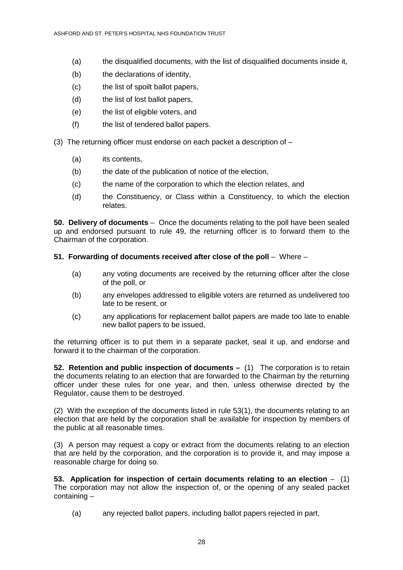- (a) the disqualified documents, with the list of disqualified documents inside it,
- (b) the declarations of identity,
- (c) the list of spoilt ballot papers,
- (d) the list of lost ballot papers,
- (e) the list of eligible voters, and
- (f) the list of tendered ballot papers.
- (3) The returning officer must endorse on each packet a description of
	- (a) its contents.
	- (b) the date of the publication of notice of the election,
	- (c) the name of the corporation to which the election relates, and
	- (d) the Constituency, or Class within a Constituency, to which the election relates.

**50. Delivery of documents** –Once the documents relating to the poll have been sealed up and endorsed pursuant to rule 49, the returning officer is to forward them to the Chairman of the corporation.

## **51. Forwarding of documents received after close of the poll – Where –**

- (a) any voting documents are received by the returning officer after the close of the poll, or
- (b) any envelopes addressed to eligible voters are returned as undelivered too late to be resent, or
- (c) any applications for replacement ballot papers are made too late to enable new ballot papers to be issued,

the returning officer is to put them in a separate packet, seal it up, and endorse and forward it to the chairman of the corporation.

**52. Retention and public inspection of documents –** (1) The corporation is to retain the documents relating to an election that are forwarded to the Chairman by the returning officer under these rules for one year, and then, unless otherwise directed by the Regulator, cause them to be destroyed.

(2) With the exception of the documents listed in rule 53(1), the documents relating to an election that are held by the corporation shall be available for inspection by members of the public at all reasonable times.

(3) A person may request a copy or extract from the documents relating to an election that are held by the corporation, and the corporation is to provide it, and may impose a reasonable charge for doing so.

**53. Application for inspection of certain documents relating to an election** – (1) The corporation may not allow the inspection of, or the opening of any sealed packet containing –

(a) any rejected ballot papers, including ballot papers rejected in part,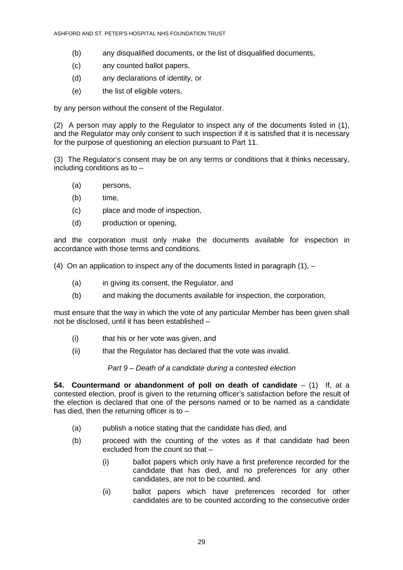- (b) any disqualified documents, or the list of disqualified documents,
- (c) any counted ballot papers,
- (d) any declarations of identity, or
- (e) the list of eligible voters,

by any person without the consent of the Regulator.

(2) A person may apply to the Regulator to inspect any of the documents listed in (1), and the Regulator may only consent to such inspection if it is satisfied that it is necessary for the purpose of questioning an election pursuant to Part 11.

(3) The Regulator's consent may be on any terms or conditions that it thinks necessary, including conditions as to –

- (a) persons,
- (b) time,
- (c) place and mode of inspection,
- (d) production or opening,

and the corporation must only make the documents available for inspection in accordance with those terms and conditions.

(4) On an application to inspect any of the documents listed in paragraph  $(1)$ ,  $-$ 

- (a) in giving its consent, the Regulator, and
- (b) and making the documents available for inspection, the corporation,

must ensure that the way in which the vote of any particular Member has been given shall not be disclosed, until it has been established –

- (i) that his or her vote was given, and
- (ii) that the Regulator has declared that the vote was invalid.

Part 9 – Death of a candidate during a contested election

**54. Countermand or abandonment of poll on death of candidate** – (1) If, at a contested election, proof is given to the returning officer's satisfaction before the result of the election is declared that one of the persons named or to be named as a candidate has died, then the returning officer is to -

- (a) publish a notice stating that the candidate has died, and
- (b) proceed with the counting of the votes as if that candidate had been excluded from the count so that -
	- (i) ballot papers which only have a first preference recorded for the candidate that has died, and no preferences for any other candidates, are not to be counted, and
	- (ii) ballot papers which have preferences recorded for other candidates are to be counted according to the consecutive order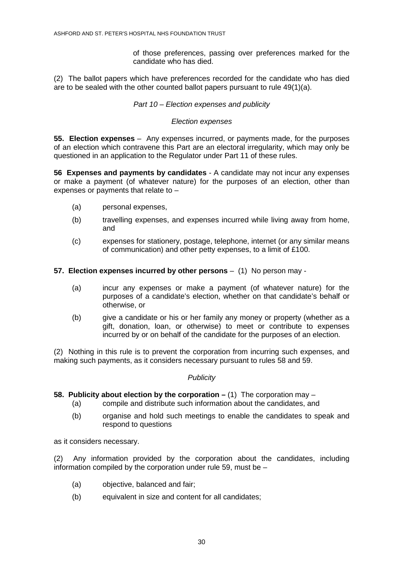of those preferences, passing over preferences marked for the candidate who has died.

(2) The ballot papers which have preferences recorded for the candidate who has died are to be sealed with the other counted ballot papers pursuant to rule 49(1)(a).

#### Part 10 – Election expenses and publicity

#### Election expenses

**55. Election expenses** – Any expenses incurred, or payments made, for the purposes of an election which contravene this Part are an electoral irregularity, which may only be questioned in an application to the Regulator under Part 11 of these rules.

**56 Expenses and payments by candidates** - A candidate may not incur any expenses or make a payment (of whatever nature) for the purposes of an election, other than expenses or payments that relate to –

- (a) personal expenses,
- (b) travelling expenses, and expenses incurred while living away from home, and
- (c) expenses for stationery, postage, telephone, internet (or any similar means of communication) and other petty expenses, to a limit of £100.

**57. Election expenses incurred by other persons** – (1)No person may -

- (a) incur any expenses or make a payment (of whatever nature) for the purposes of a candidate's election, whether on that candidate's behalf or otherwise, or
- (b) give a candidate or his or her family any money or property (whether as a gift, donation, loan, or otherwise) to meet or contribute to expenses incurred by or on behalf of the candidate for the purposes of an election.

(2) Nothing in this rule is to prevent the corporation from incurring such expenses, and making such payments, as it considers necessary pursuant to rules 58 and 59.

#### **Publicity**

#### **58. Publicity about election by the corporation – (1)** The corporation may –

- (a) compile and distribute such information about the candidates, and
- (b) organise and hold such meetings to enable the candidates to speak and respond to questions

as it considers necessary.

(2) Any information provided by the corporation about the candidates, including information compiled by the corporation under rule 59, must be –

- (a) objective, balanced and fair;
- (b) equivalent in size and content for all candidates;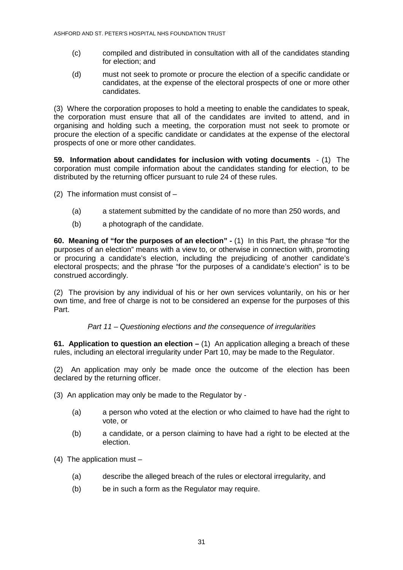- (c) compiled and distributed in consultation with all of the candidates standing for election; and
- (d) must not seek to promote or procure the election of a specific candidate or candidates, at the expense of the electoral prospects of one or more other candidates.

(3) Where the corporation proposes to hold a meeting to enable the candidates to speak, the corporation must ensure that all of the candidates are invited to attend, and in organising and holding such a meeting, the corporation must not seek to promote or procure the election of a specific candidate or candidates at the expense of the electoral prospects of one or more other candidates.

**59. Information about candidates for inclusion with voting documents** - (1) The corporation must compile information about the candidates standing for election, to be distributed by the returning officer pursuant to rule 24 of these rules.

(2) The information must consist of  $-$ 

- (a) a statement submitted by the candidate of no more than 250 words, and
- (b) a photograph of the candidate.

**60. Meaning of "for the purposes of an election" -** (1) In this Part, the phrase "for the purposes of an election" means with a view to, or otherwise in connection with, promoting or procuring a candidate's election, including the prejudicing of another candidate's electoral prospects; and the phrase "for the purposes of a candidate's election" is to be construed accordingly.

(2) The provision by any individual of his or her own services voluntarily, on his or her own time, and free of charge is not to be considered an expense for the purposes of this Part.

## Part 11 – Questioning elections and the consequence of irregularities

**61. Application to question an election –** (1) An application alleging a breach of these rules, including an electoral irregularity under Part 10, may be made to the Regulator.

(2) An application may only be made once the outcome of the election has been declared by the returning officer.

- (3) An application may only be made to the Regulator by
	- (a) a person who voted at the election or who claimed to have had the right to vote, or
	- (b) a candidate, or a person claiming to have had a right to be elected at the election.
- (4) The application must
	- (a) describe the alleged breach of the rules or electoral irregularity, and
	- (b) be in such a form as the Regulator may require.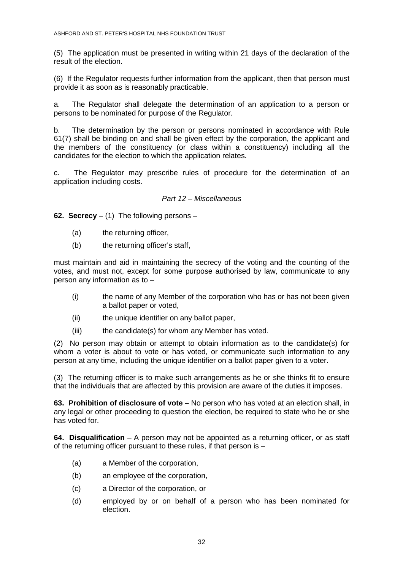(5) The application must be presented in writing within 21 days of the declaration of the result of the election.

(6) If the Regulator requests further information from the applicant, then that person must provide it as soon as is reasonably practicable.

a. The Regulator shall delegate the determination of an application to a person or persons to be nominated for purpose of the Regulator.

b. The determination by the person or persons nominated in accordance with Rule 61(7) shall be binding on and shall be given effect by the corporation, the applicant and the members of the constituency (or class within a constituency) including all the candidates for the election to which the application relates.

c. The Regulator may prescribe rules of procedure for the determination of an application including costs.

#### Part 12 – Miscellaneous

**62. Secrecy** – (1) The following persons –

- (a) the returning officer,
- (b) the returning officer's staff,

must maintain and aid in maintaining the secrecy of the voting and the counting of the votes, and must not, except for some purpose authorised by law, communicate to any person any information as to –

- (i) the name of any Member of the corporation who has or has not been given a ballot paper or voted,
- (ii) the unique identifier on any ballot paper,
- (iii) the candidate(s) for whom any Member has voted.

(2) No person may obtain or attempt to obtain information as to the candidate(s) for whom a voter is about to vote or has voted, or communicate such information to any person at any time, including the unique identifier on a ballot paper given to a voter.

(3) The returning officer is to make such arrangements as he or she thinks fit to ensure that the individuals that are affected by this provision are aware of the duties it imposes.

**63. Prohibition of disclosure of vote –** No person who has voted at an election shall, in any legal or other proceeding to question the election, be required to state who he or she has voted for.

**64. Disqualification** – A person may not be appointed as a returning officer, or as staff of the returning officer pursuant to these rules, if that person is –

- (a) a Member of the corporation,
- (b) an employee of the corporation,
- (c) a Director of the corporation, or
- (d) employed by or on behalf of a person who has been nominated for election.